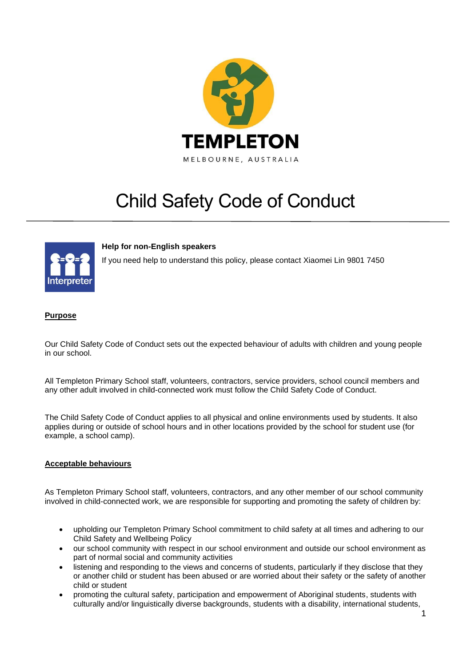

# Child Safety Code of Conduct



# **Help for non-English speakers**

If you need help to understand this policy, please contact Xiaomei Lin 9801 7450

#### **Purpose**

Our Child Safety Code of Conduct sets out the expected behaviour of adults with children and young people in our school.

All Templeton Primary School staff, volunteers, contractors, service providers, school council members and any other adult involved in child-connected work must follow the Child Safety Code of Conduct.

The Child Safety Code of Conduct applies to all physical and online environments used by students. It also applies during or outside of school hours and in other locations provided by the school for student use (for example, a school camp).

#### **Acceptable behaviours**

As Templeton Primary School staff, volunteers, contractors, and any other member of our school community involved in child-connected work, we are responsible for supporting and promoting the safety of children by:

- upholding our Templeton Primary School commitment to child safety at all times and adhering to our Child Safety and Wellbeing Policy
- our school community with respect in our school environment and outside our school environment as part of normal social and community activities
- listening and responding to the views and concerns of students, particularly if they disclose that they or another child or student has been abused or are worried about their safety or the safety of another child or student
- promoting the cultural safety, participation and empowerment of Aboriginal students, students with culturally and/or linguistically diverse backgrounds, students with a disability, international students,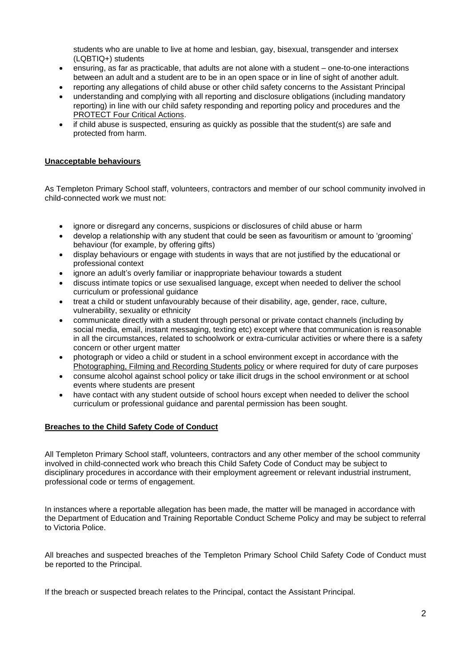students who are unable to live at home and lesbian, gay, bisexual, transgender and intersex (LQBTIQ+) students

- ensuring, as far as practicable, that adults are not alone with a student one-to-one interactions between an adult and a student are to be in an open space or in line of sight of another adult.
- reporting any allegations of child abuse or other child safety concerns to the Assistant Principal
- understanding and complying with all reporting and disclosure obligations (including mandatory reporting) in line with our child safety responding and reporting policy and procedures and the [PROTECT Four Critical Actions.](https://www.education.vic.gov.au/Documents/about/programs/health/protect/FourCriticalActions_ChildAbuse.pdf)
- if child abuse is suspected, ensuring as quickly as possible that the student(s) are safe and protected from harm.

## **Unacceptable behaviours**

As Templeton Primary School staff, volunteers, contractors and member of our school community involved in child-connected work we must not:

- ignore or disregard any concerns, suspicions or disclosures of child abuse or harm
- develop a relationship with any student that could be seen as favouritism or amount to 'grooming' behaviour (for example, by offering gifts)
- display behaviours or engage with students in ways that are not justified by the educational or professional context
- ignore an adult's overly familiar or inappropriate behaviour towards a student
- discuss intimate topics or use sexualised language, except when needed to deliver the school curriculum or professional guidance
- treat a child or student unfavourably because of their disability, age, gender, race, culture, vulnerability, sexuality or ethnicity
- communicate directly with a student through personal or private contact channels (including by social media, email, instant messaging, texting etc) except where that communication is reasonable in all the circumstances, related to schoolwork or extra-curricular activities or where there is a safety concern or other urgent matter
- photograph or video a child or student in a school environment except in accordance with the [Photographing, Filming and Recording Students policy](https://www2.education.vic.gov.au/pal/photographing-students/policy) or where required for duty of care purposes
- consume alcohol against school policy or take illicit drugs in the school environment or at school events where students are present
- have contact with any student outside of school hours except when needed to deliver the school curriculum or professional guidance and parental permission has been sought.

## **Breaches to the Child Safety Code of Conduct**

All Templeton Primary School staff, volunteers, contractors and any other member of the school community involved in child-connected work who breach this Child Safety Code of Conduct may be subject to disciplinary procedures in accordance with their employment agreement or relevant industrial instrument, professional code or terms of engagement.

In instances where a reportable allegation has been made, the matter will be managed in accordance with the Department of Education and Training Reportable Conduct Scheme Policy and may be subject to referral to Victoria Police.

All breaches and suspected breaches of the Templeton Primary School Child Safety Code of Conduct must be reported to the Principal.

If the breach or suspected breach relates to the Principal, contact the Assistant Principal.